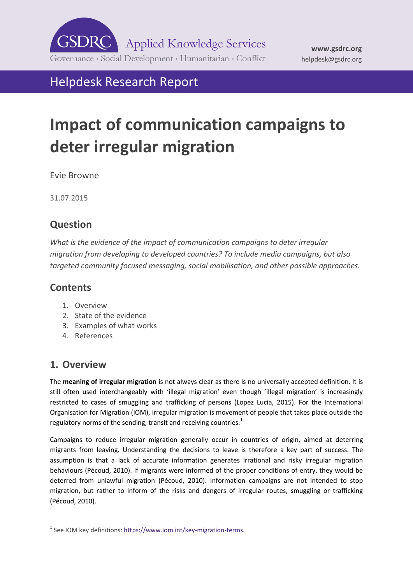

# Helpdesk Research Report

# **Impact of communication campaigns to deter irregular migration**

Evie Browne

31.07.2015

# **Question**

*What is the evidence of the impact of communication campaigns to deter irregular migration from developing to developed countries? To include media campaigns, but also targeted community focused messaging, social mobilisation, and other possible approaches.*

## **Contents**

- 1. [Overview](#page-0-0)
- 2. [State of the evidence](#page-1-0)
- 3. Examples of what works
- <span id="page-0-0"></span>4. [References](#page-6-0)

## **1. Overview**

The **meaning of irregular migration** is not always clear as there is no universally accepted definition. It is still often used interchangeably with 'illegal migration' even though 'illegal migration' is increasingly restricted to cases of smuggling and trafficking of persons (Lopez Lucia, 2015). For the International Organisation for Migration (IOM), irregular migration is movement of people that takes place outside the regulatory norms of the sending, transit and receiving countries. $<sup>1</sup>$ </sup>

Campaigns to reduce irregular migration generally occur in countries of origin, aimed at deterring migrants from leaving. Understanding the decisions to leave is therefore a key part of success. The assumption is that a lack of accurate information generates irrational and risky irregular migration behaviours (Pécoud, 2010). If migrants were informed of the proper conditions of entry, they would be deterred from unlawful migration (Pécoud, 2010). Information campaigns are not intended to stop migration, but rather to inform of the risks and dangers of irregular routes, smuggling or trafficking (Pécoud, 2010).

<sup>-</sup> $1$  See IOM key definitions: https://www.iom.int/key-migration-terms.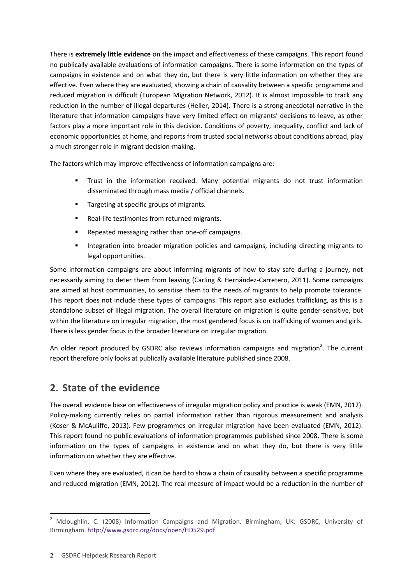There is **extremely little evidence** on the impact and effectiveness of these campaigns. This report found no publically available evaluations of information campaigns. There is some information on the types of campaigns in existence and on what they do, but there is very little information on whether they are effective. Even where they are evaluated, showing a chain of causality between a specific programme and reduced migration is difficult (European Migration Network, 2012). It is almost impossible to track any reduction in the number of illegal departures (Heller, 2014). There is a strong anecdotal narrative in the literature that information campaigns have very limited effect on migrants' decisions to leave, as other factors play a more important role in this decision. Conditions of poverty, inequality, conflict and lack of economic opportunities at home, and reports from trusted social networks about conditions abroad, play a much stronger role in migrant decision-making.

The factors which may improve effectiveness of information campaigns are:

- Trust in the information received. Many potential migrants do not trust information disseminated through mass media / official channels.
- Targeting at specific groups of migrants.
- Real-life testimonies from returned migrants.
- Repeated messaging rather than one-off campaigns.
- Integration into broader migration policies and campaigns, including directing migrants to legal opportunities.

Some information campaigns are about informing migrants of how to stay safe during a journey, not necessarily aiming to deter them from leaving (Carling & Hernández‐Carretero, 2011). Some campaigns are aimed at host communities, to sensitise them to the needs of migrants to help promote tolerance. This report does not include these types of campaigns. This report also excludes trafficking, as this is a standalone subset of illegal migration. The overall literature on migration is quite gender-sensitive, but within the literature on irregular migration, the most gendered focus is on trafficking of women and girls. There is less gender focus in the broader literature on irregular migration.

An older report produced by GSDRC also reviews information campaigns and migration<sup>2</sup>. The current report therefore only looks at publically available literature published since 2008.

# <span id="page-1-0"></span>**2. State of the evidence**

The overall evidence base on effectiveness of irregular migration policy and practice is weak (EMN, 2012). Policy-making currently relies on partial information rather than rigorous measurement and analysis (Koser & McAuliffe, 2013). Few programmes on irregular migration have been evaluated (EMN, 2012). This report found no public evaluations of information programmes published since 2008. There is some information on the types of campaigns in existence and on what they do, but there is very little information on whether they are effective.

Even where they are evaluated, it can be hard to show a chain of causality between a specific programme and reduced migration (EMN, 2012). The real measure of impact would be a reduction in the number of

<sup>-</sup><sup>2</sup> Mcloughlin, C. (2008) Information Campaigns and Migration. Birmingham, UK: GSDRC, University of Birmingham.<http://www.gsdrc.org/docs/open/HD529.pdf>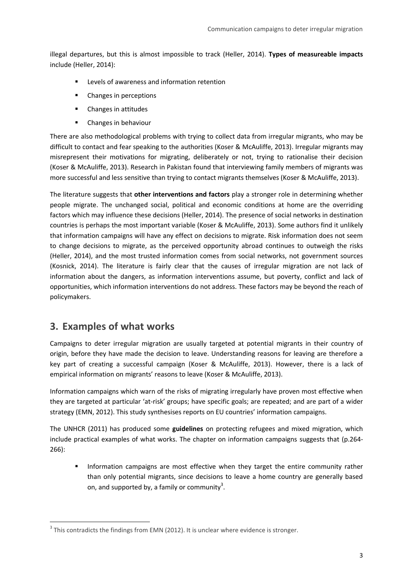illegal departures, but this is almost impossible to track (Heller, 2014). **Types of measureable impacts** include (Heller, 2014):

- Levels of awareness and information retention
- Changes in perceptions
- **•** Changes in attitudes
- Changes in behaviour

There are also methodological problems with trying to collect data from irregular migrants, who may be difficult to contact and fear speaking to the authorities (Koser & McAuliffe, 2013). Irregular migrants may misrepresent their motivations for migrating, deliberately or not, trying to rationalise their decision (Koser & McAuliffe, 2013). Research in Pakistan found that interviewing family members of migrants was more successful and less sensitive than trying to contact migrants themselves (Koser & McAuliffe, 2013).

The literature suggests that **other interventions and factors** play a stronger role in determining whether people migrate. The unchanged social, political and economic conditions at home are the overriding factors which may influence these decisions (Heller, 2014). The presence of social networks in destination countries is perhaps the most important variable (Koser & McAuliffe, 2013). Some authors find it unlikely that information campaigns will have any effect on decisions to migrate. Risk information does not seem to change decisions to migrate, as the perceived opportunity abroad continues to outweigh the risks (Heller, 2014), and the most trusted information comes from social networks, not government sources (Kosnick, 2014). The literature is fairly clear that the causes of irregular migration are not lack of information about the dangers, as information interventions assume, but poverty, conflict and lack of opportunities, which information interventions do not address. These factors may be beyond the reach of policymakers.

## **3. Examples of what works**

-

Campaigns to deter irregular migration are usually targeted at potential migrants in their country of origin, before they have made the decision to leave. Understanding reasons for leaving are therefore a key part of creating a successful campaign (Koser & McAuliffe, 2013). However, there is a lack of empirical information on migrants' reasons to leave (Koser & McAuliffe, 2013).

Information campaigns which warn of the risks of migrating irregularly have proven most effective when they are targeted at particular 'at-risk' groups; have specific goals; are repeated; and are part of a wider strategy (EMN, 2012). This study synthesises reports on EU countries' information campaigns.

The UNHCR (2011) has produced some **guidelines** on protecting refugees and mixed migration, which include practical examples of what works. The chapter on information campaigns suggests that (p.264- 266):

 Information campaigns are most effective when they target the entire community rather than only potential migrants, since decisions to leave a home country are generally based on, and supported by, a family or community<sup>3</sup>.

 $3$  This contradicts the findings from EMN (2012). It is unclear where evidence is stronger.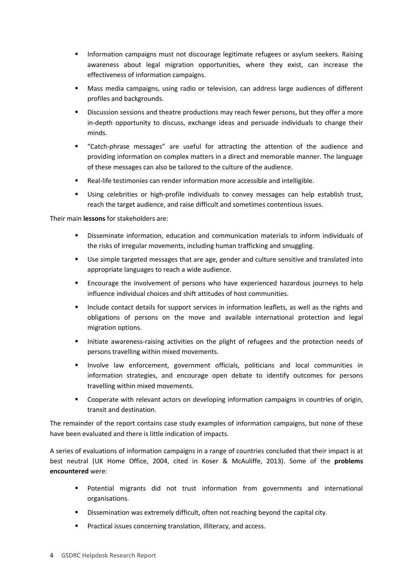- Information campaigns must not discourage legitimate refugees or asylum seekers. Raising awareness about legal migration opportunities, where they exist, can increase the effectiveness of information campaigns.
- Mass media campaigns, using radio or television, can address large audiences of different profiles and backgrounds.
- Discussion sessions and theatre productions may reach fewer persons, but they offer a more in-depth opportunity to discuss, exchange ideas and persuade individuals to change their minds.
- "Catch-phrase messages" are useful for attracting the attention of the audience and providing information on complex matters in a direct and memorable manner. The language of these messages can also be tailored to the culture of the audience.
- Real-life testimonies can render information more accessible and intelligible.
- Using celebrities or high-profile individuals to convey messages can help establish trust, reach the target audience, and raise difficult and sometimes contentious issues.

Their main **lessons** for stakeholders are:

- Disseminate information, education and communication materials to inform individuals of the risks of irregular movements, including human trafficking and smuggling.
- Use simple targeted messages that are age, gender and culture sensitive and translated into appropriate languages to reach a wide audience.
- Encourage the involvement of persons who have experienced hazardous journeys to help influence individual choices and shift attitudes of host communities.
- Include contact details for support services in information leaflets, as well as the rights and obligations of persons on the move and available international protection and legal migration options.
- Initiate awareness-raising activities on the plight of refugees and the protection needs of persons travelling within mixed movements.
- Involve law enforcement, government officials, politicians and local communities in information strategies, and encourage open debate to identify outcomes for persons travelling within mixed movements.
- Cooperate with relevant actors on developing information campaigns in countries of origin, transit and destination.

The remainder of the report contains case study examples of information campaigns, but none of these have been evaluated and there is little indication of impacts.

A series of evaluations of information campaigns in a range of countries concluded that their impact is at best neutral (UK Home Office, 2004, cited in Koser & McAuliffe, 2013). Some of the **problems encountered** were:

- Potential migrants did not trust information from governments and international organisations.
- Dissemination was extremely difficult, often not reaching beyond the capital city.
- Practical issues concerning translation, illiteracy, and access.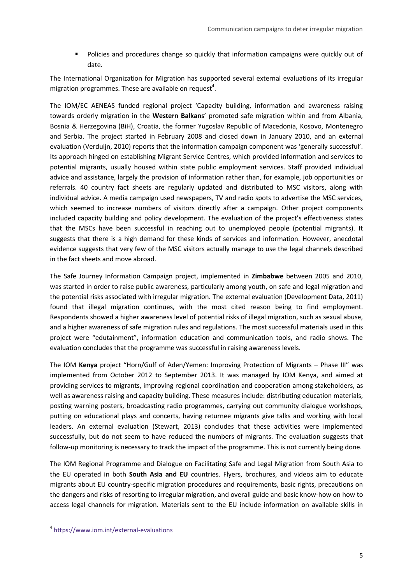Policies and procedures change so quickly that information campaigns were quickly out of date.

The International Organization for Migration has supported several external evaluations of its irregular migration programmes. These are available on request<sup>4</sup>.

The IOM/EC AENEAS funded regional project 'Capacity building, information and awareness raising towards orderly migration in the **Western Balkans**' promoted safe migration within and from Albania, Bosnia & Herzegovina (BiH), Croatia, the former Yugoslav Republic of Macedonia, Kosovo, Montenegro and Serbia. The project started in February 2008 and closed down in January 2010, and an external evaluation (Verduijn, 2010) reports that the information campaign component was 'generally successful'. Its approach hinged on establishing Migrant Service Centres, which provided information and services to potential migrants, usually housed within state public employment services. Staff provided individual advice and assistance, largely the provision of information rather than, for example, job opportunities or referrals. 40 country fact sheets are regularly updated and distributed to MSC visitors, along with individual advice. A media campaign used newspapers, TV and radio spots to advertise the MSC services, which seemed to increase numbers of visitors directly after a campaign. Other project components included capacity building and policy development. The evaluation of the project's effectiveness states that the MSCs have been successful in reaching out to unemployed people (potential migrants). It suggests that there is a high demand for these kinds of services and information. However, anecdotal evidence suggests that very few of the MSC visitors actually manage to use the legal channels described in the fact sheets and move abroad.

The Safe Journey Information Campaign project, implemented in **Zimbabwe** between 2005 and 2010, was started in order to raise public awareness, particularly among youth, on safe and legal migration and the potential risks associated with irregular migration. The external evaluation (Development Data, 2011) found that illegal migration continues, with the most cited reason being to find employment. Respondents showed a higher awareness level of potential risks of illegal migration, such as sexual abuse, and a higher awareness of safe migration rules and regulations. The most successful materials used in this project were "edutainment", information education and communication tools, and radio shows. The evaluation concludes that the programme was successful in raising awareness levels.

The IOM **Kenya** project "Horn/Gulf of Aden/Yemen: Improving Protection of Migrants – Phase III" was implemented from October 2012 to September 2013. It was managed by IOM Kenya, and aimed at providing services to migrants, improving regional coordination and cooperation among stakeholders, as well as awareness raising and capacity building. These measures include: distributing education materials, posting warning posters, broadcasting radio programmes, carrying out community dialogue workshops, putting on educational plays and concerts, having returnee migrants give talks and working with local leaders. An external evaluation (Stewart, 2013) concludes that these activities were implemented successfully, but do not seem to have reduced the numbers of migrants. The evaluation suggests that follow-up monitoring is necessary to track the impact of the programme. This is not currently being done.

The IOM Regional Programme and Dialogue on Facilitating Safe and Legal Migration from South Asia to the EU operated in both **South Asia and EU** countries. Flyers, brochures, and videos aim to educate migrants about EU country-specific migration procedures and requirements, basic rights, precautions on the dangers and risks of resorting to irregular migration, and overall guide and basic know-how on how to access legal channels for migration. Materials sent to the EU include information on available skills in

-

<sup>4</sup> <https://www.iom.int/external-evaluations>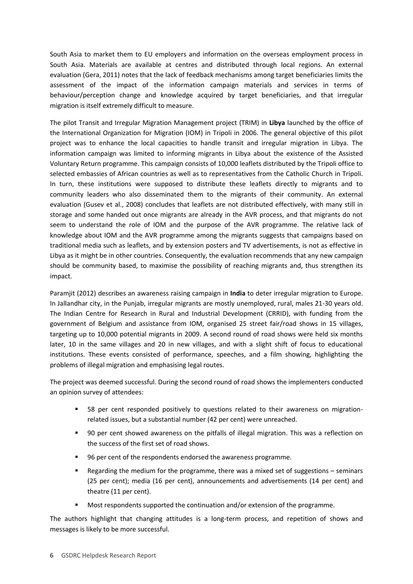South Asia to market them to EU employers and information on the overseas employment process in South Asia. Materials are available at centres and distributed through local regions. An external evaluation (Gera, 2011) notes that the lack of feedback mechanisms among target beneficiaries limits the assessment of the impact of the information campaign materials and services in terms of behaviour/perception change and knowledge acquired by target beneficiaries, and that irregular migration is itself extremely difficult to measure.

The pilot Transit and Irregular Migration Management project (TRIM) in **Libya** launched by the office of the International Organization for Migration (IOM) in Tripoli in 2006. The general objective of this pilot project was to enhance the local capacities to handle transit and irregular migration in Libya. The information campaign was limited to informing migrants in Libya about the existence of the Assisted Voluntary Return programme. This campaign consists of 10,000 leaflets distributed by the Tripoli office to selected embassies of African countries as well as to representatives from the Catholic Church in Tripoli. In turn, these institutions were supposed to distribute these leaflets directly to migrants and to community leaders who also disseminated them to the migrants of their community. An external evaluation (Gusev et al., 2008) concludes that leaflets are not distributed effectively, with many still in storage and some handed out once migrants are already in the AVR process, and that migrants do not seem to understand the role of IOM and the purpose of the AVR programme. The relative lack of knowledge about IOM and the AVR programme among the migrants suggests that campaigns based on traditional media such as leaflets, and by extension posters and TV advertisements, is not as effective in Libya as it might be in other countries. Consequently, the evaluation recommends that any new campaign should be community based, to maximise the possibility of reaching migrants and, thus strengthen its impact.

Paramjit (2012) describes an awareness raising campaign in **India** to deter irregular migration to Europe. In Jallandhar city, in the Punjab, irregular migrants are mostly unemployed, rural, males 21-30 years old. The Indian Centre for Research in Rural and Industrial Development (CRRID), with funding from the government of Belgium and assistance from IOM, organised 25 street fair/road shows in 15 villages, targeting up to 10,000 potential migrants in 2009. A second round of road shows were held six months later, 10 in the same villages and 20 in new villages, and with a slight shift of focus to educational institutions. These events consisted of performance, speeches, and a film showing, highlighting the problems of illegal migration and emphasising legal routes.

The project was deemed successful. During the second round of road shows the implementers conducted an opinion survey of attendees:

- 58 per cent responded positively to questions related to their awareness on migrationrelated issues, but a substantial number (42 per cent) were unreached.
- 90 per cent showed awareness on the pitfalls of illegal migration. This was a reflection on the success of the first set of road shows.
- 96 per cent of the respondents endorsed the awareness programme.
- Regarding the medium for the programme, there was a mixed set of suggestions seminars (25 per cent); media (16 per cent), announcements and advertisements (14 per cent) and theatre (11 per cent).
- Most respondents supported the continuation and/or extension of the programme.

The authors highlight that changing attitudes is a long-term process, and repetition of shows and messages is likely to be more successful.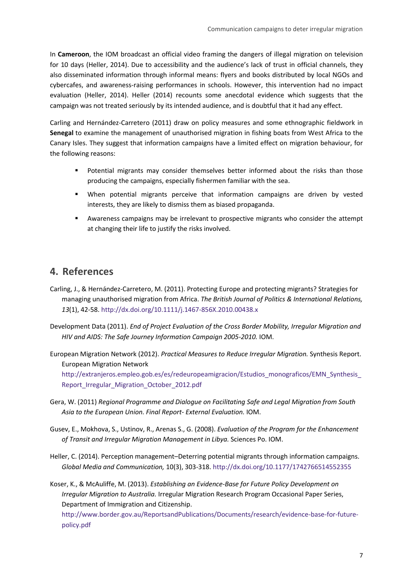In **Cameroon**, the IOM broadcast an official video framing the dangers of illegal migration on television for 10 days (Heller, 2014). Due to accessibility and the audience's lack of trust in official channels, they also disseminated information through informal means: flyers and books distributed by local NGOs and cybercafes, and awareness-raising performances in schools. However, this intervention had no impact evaluation (Heller, 2014). Heller (2014) recounts some anecdotal evidence which suggests that the campaign was not treated seriously by its intended audience, and is doubtful that it had any effect.

Carling and Hernández‐Carretero (2011) draw on policy measures and some ethnographic fieldwork in **Senegal** to examine the management of unauthorised migration in fishing boats from West Africa to the Canary Isles. They suggest that information campaigns have a limited effect on migration behaviour, for the following reasons:

- Potential migrants may consider themselves better informed about the risks than those producing the campaigns, especially fishermen familiar with the sea.
- When potential migrants perceive that information campaigns are driven by vested interests, they are likely to dismiss them as biased propaganda.
- Awareness campaigns may be irrelevant to prospective migrants who consider the attempt at changing their life to justify the risks involved.

## <span id="page-6-0"></span>**4. References**

- Carling, J., & Hernández‐Carretero, M. (2011). Protecting Europe and protecting migrants? Strategies for managing unauthorised migration from Africa. *The British Journal of Politics & International Relations, 13*(1), 42-58. <http://dx.doi.org/10.1111/j.1467-856X.2010.00438.x>
- Development Data (2011). *End of Project Evaluation of the Cross Border Mobility, Irregular Migration and HIV and AIDS: The Safe Journey Information Campaign 2005-2010.* IOM.
- European Migration Network (2012). *Practical Measures to Reduce Irregular Migration.* Synthesis Report. European Migration Network

[http://extranjeros.empleo.gob.es/es/redeuropeamigracion/Estudios\\_monograficos/EMN\\_Synthesis\\_](http://extranjeros.empleo.gob.es/es/redeuropeamigracion/Estudios_monograficos/EMN_Synthesis_Report_Irregular_Migration_October_2012.pdf) Report Irregular Migration October 2012.pdf

- Gera, W. (2011) *Regional Programme and Dialogue on Facilitating Safe and Legal Migration from South Asia to the European Union. Final Report- External Evaluation.* IOM.
- Gusev, E., Mokhova, S., Ustinov, R., Arenas S., G. (2008). *Evaluation of the Program for the Enhancement of Transit and Irregular Migration Management in Libya.* Sciences Po. IOM.
- Heller, C. (2014). Perception management–Deterring potential migrants through information campaigns. *Global Media and Communication,* 10(3), 303-318. <http://dx.doi.org/10.1177/1742766514552355>

Koser, K., & McAuliffe, M. (2013). *Establishing an Evidence‐Base for Future Policy Development on Irregular Migration to Australia.* Irregular Migration Research Program Occasional Paper Series, Department of Immigration and Citizenship.

[http://www.border.gov.au/ReportsandPublications/Documents/research/evidence-base-for-future](http://www.border.gov.au/ReportsandPublications/Documents/research/evidence-base-for-future-policy.pdf)[policy.pdf](http://www.border.gov.au/ReportsandPublications/Documents/research/evidence-base-for-future-policy.pdf)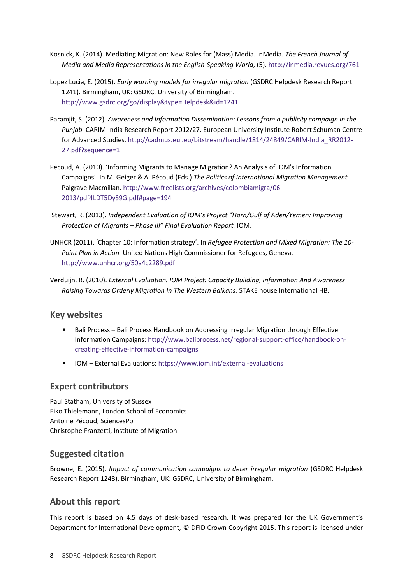- Kosnick, K. (2014). Mediating Migration: New Roles for (Mass) Media. InMedia. *The French Journal of Media and Media Representations in the English-Speaking World*, (5). <http://inmedia.revues.org/761>
- Lopez Lucia, E. (2015). *Early warning models for irregular migration* (GSDRC Helpdesk Research Report 1241). Birmingham, UK: GSDRC, University of Birmingham. <http://www.gsdrc.org/go/display&type=Helpdesk&id=1241>
- Paramjit, S. (2012). *Awareness and Information Dissemination: Lessons from a publicity campaign in the Punjab.* CARIM-India Research Report 2012/27. European University Institute Robert Schuman Centre for Advanced Studies[. http://cadmus.eui.eu/bitstream/handle/1814/24849/CARIM-India\\_RR2012-](http://cadmus.eui.eu/bitstream/handle/1814/24849/CARIM-India_RR2012-27.pdf?sequence=1) [27.pdf?sequence=1](http://cadmus.eui.eu/bitstream/handle/1814/24849/CARIM-India_RR2012-27.pdf?sequence=1)
- Pécoud, A. (2010). 'Informing Migrants to Manage Migration? An Analysis of IOM's Information Campaigns'. In M. Geiger & A. Pécoud (Eds.) *The Politics of International Migration Management.* Palgrave Macmillan[. http://www.freelists.org/archives/colombiamigra/06-](http://www.freelists.org/archives/colombiamigra/06-2013/pdf4LDT5DyS9G.pdf#page=194) [2013/pdf4LDT5DyS9G.pdf#page=194](http://www.freelists.org/archives/colombiamigra/06-2013/pdf4LDT5DyS9G.pdf#page=194)
- Stewart, R. (2013). *Independent Evaluation of IOM's Project "Horn/Gulf of Aden/Yemen: Improving Protection of Migrants – Phase III" Final Evaluation Report.* IOM.
- UNHCR (2011). 'Chapter 10: Information strategy'. In *Refugee Protection and Mixed Migration: The 10- Point Plan in Action.* United Nations High Commissioner for Refugees, Geneva. <http://www.unhcr.org/50a4c2289.pdf>
- Verduijn, R. (2010). *External Evaluation. IOM Project: Capacity Building, Information And Awareness Raising Towards Orderly Migration In The Western Balkans.* STAKE house International HB.

#### **Key websites**

- **Bali Process Bali Process Handbook on Addressing Irregular Migration through Effective** Information Campaigns: [http://www.baliprocess.net/regional-support-office/handbook-on](http://www.baliprocess.net/regional-support-office/handbook-on-creating-effective-information-campaigns)[creating-effective-information-campaigns](http://www.baliprocess.net/regional-support-office/handbook-on-creating-effective-information-campaigns)
- IOM External Evaluations:<https://www.iom.int/external-evaluations>

## **Expert contributors**

Paul Statham, University of Sussex Eiko Thielemann, London School of Economics Antoine Pécoud, SciencesPo Christophe Franzetti, Institute of Migration

## **Suggested citation**

Browne, E. (2015). *Impact of communication campaigns to deter irregular migration* (GSDRC Helpdesk Research Report 1248). Birmingham, UK: GSDRC, University of Birmingham.

## **About this report**

This report is based on 4.5 days of desk-based research. It was prepared for the UK Government's Department for International Development, © DFID Crown Copyright 2015. This report is licensed under